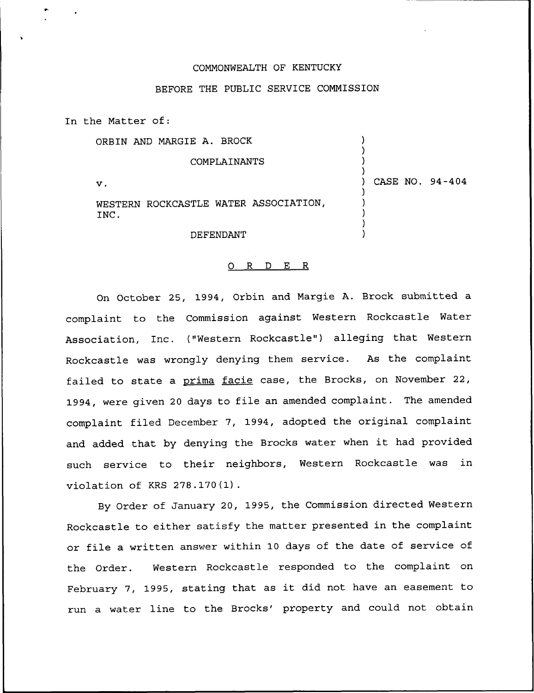#### COMMONWEALTH OF KENTUCKY

# BEFORE THE PUBLIC SERVICE COMMISSION

In the Matter of:

ORBIN AND MARGIE A. BROCK

#### COMPLAINANTS

 $\mathbf v$ .

) CASE NO. 94-404

) ) ) )

) ) ) ) )

WESTERN ROCKCASTLE WATER ASSOCIATION, INC.

DEFENDANT

#### 0 R <sup>D</sup> E R

On October 25, 1994, Orbin and Margie A. Brock submitted a complaint to the Commission against Western Rockcastle Water Association, Inc. ("Western Rockcastle") alleging that Western Rockcastle was wrongly denying them service. As the complaint failed to state a prima facie case, the Brocks, on November 22, 1994, were given <sup>20</sup> days to file an amended complaint. The amended complaint filed December 7, 1994, adopted the original complaint and added that by denying the Brocks water when it had provided such service to their neighbors, Western Rockcastle was in violation of KRS 278.170(1).

By Order of January 20, 1995, the Commission directed Western Rockcastle to either satisfy the matter presented in the complaint or file a written answer within 10 days of the date of service of the Order. Western Rockcastle responded to the complaint on February 7, 1995, stating that as it did not have an easement to run a water line to the Brocks' property and could not obtain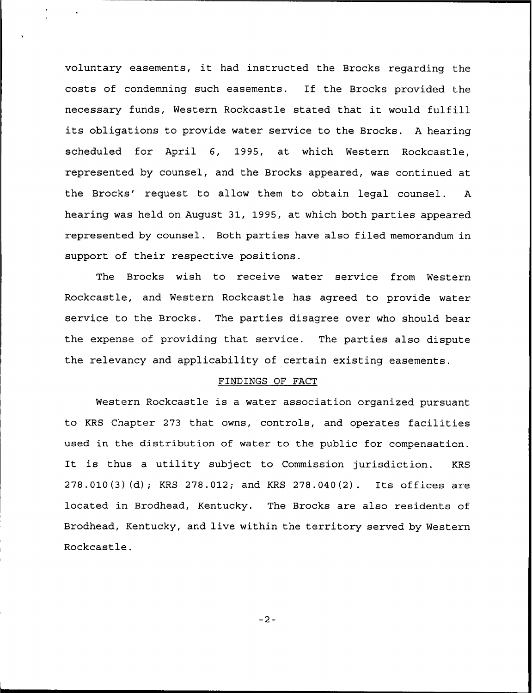voluntary easements, it had instructed the Brocks regarding the costs of condemning such easements. If the Brocks provided the necessary funds, Western Rockcastle stated that it would fulfill its obligations to provide water service to the Brocks. <sup>A</sup> hearing scheduled for April 6, 1995, at which Western Rockcastle, represented by counsel, and the Brocks appeared, was continued at the Brocks' request to allow them to obtain legal counsel. A hearing was held on August 31, 1995, at which both parties appeared represented by counsel. Both parties have also filed memorandum in support of their respective positions.

The Brocks wish to receive water service from Western Rockcastle, and Western Rockcastle has agreed to provide water service to the Brocks. The parties disagree over who should bear the expense of providing that service. The parties also dispute the relevancy and applicability of certain existing easements.

### FINDINGS OF FACT

Western Rockcastle is a water association organized pursuant to KRS Chapter 273 that owns, controls, and operates facilities used in the distribution of water to the public for compensation. It is thus <sup>a</sup> utility subject to Commission jurisdiction. KRS 278.010(3)(d); KRS 278.012; and KRS 278.040(2). Its offices are located in Brodhead, Kentucky. The Brocks are also residents of Brodhead, Kentucky, and live within the territory served by Western Rockcastle.

 $-2-$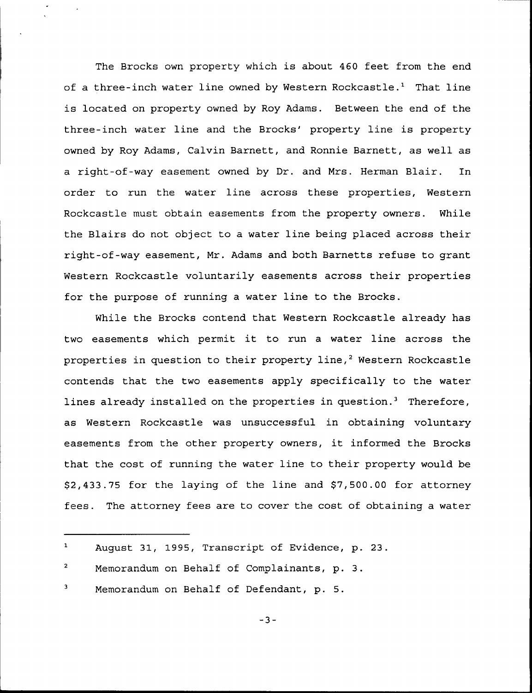The Brocks own property which is about 460 feet from the end of a three-inch water line owned by Western Rockcastle.<sup>1</sup> That line is located on property owned by Roy Adams. Between the end of the three-inch water line and the Brocks' property line is property owned by Roy Adams, Calvin Barnett, and Ronnie Barnett, as well as a right-of-way easement owned by Dr. and Mrs. Herman Blair. In order to run the water line across these properties, Western Rockcastle must obtain easements from the property owners. While the Blairs do not object to a water line being placed across their right-of-way easement, Mr. Adams and both Barnetts refuse to grant Western Rockcastle voluntarily easements across their properties for the purpose of running a water line to the Brocks.

While the Brocks contend that Western Rockcastle already has two easements which permit it to run <sup>a</sup> water line across the properties in question to their property line,<sup>2</sup> Western Rockcastle contends that the two easements apply specifically to the water lines already installed on the properties in question.<sup>3</sup> Therefore, as Western Rockcastle was unsuccessful in obtaining voluntary easements from the other property owners, it informed the Brocks that the cost of running the water line to their property would be \$2,433.75 for the laying of the line and \$7,500.00 for attorney fees. The attorney fees are to cover the cost of obtaining a water

 $\mathbf 1$ August 31, 1995, Transcript of Evidence, p. 23.

 $\overline{a}$ Memorandum on Behalf of Complainants, p. 3.

Memorandum on Behalf of Defendant, p. 5.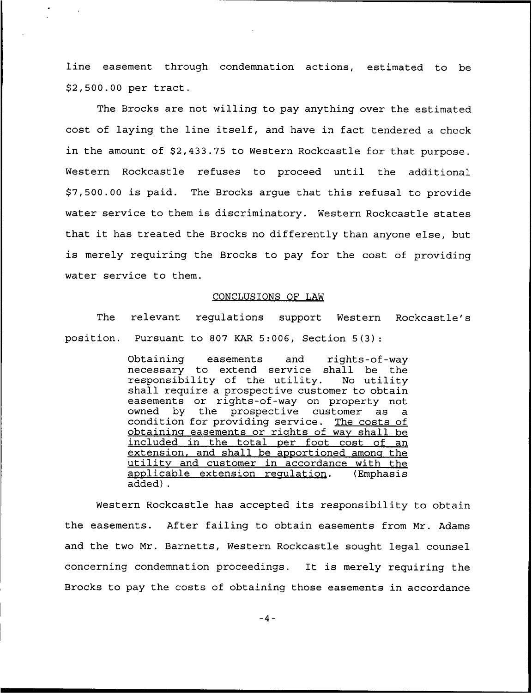line easement through condemnation actions, estimated to be \$2,500.00 per tract.

The Brocks are not willing to pay anything over the estimated cost of laying the line itself, and have in fact tendered a check in the amount of \$2,433.75 to Western Rockcastle for that purpose. Western Rockcastle refuses to proceed until the additional \$ 7,500.00 is paid. The Brocks argue that this refusal to provide water service to them is discriminatory. Western Rockcastle states that it has treated the Brocks no differently than anyone else, but is merely requiring the Brocks to pay for the cost of providing water service to them.

## CONCLUSIONS OF LAW

The relevant regulations support Western Rockcastle's position. Pursuant to 807 KAR 5:006, Section 5(3):

> Obtaining easements and rights-of-wa necessary to extend service shall be the responsibility of the utility. No utility shall require a prospective customer to obtain easements or rights-of-way on property not owned by the prospective customer as a condition for providing service. The costs of obtaining easements or rights of way shall be included in the total per foot cost of an extension, and shall be apportioned among the utility and customer in accordance with the applicable extension requlation. (Emphasis applicable extension requlation. added) .

Western Rockcastle has accepted its responsibility to obtain the easements. After failing to obtain easements from Mr. Adams and the two Mr. Barnetts, Western Rockcastle sought legal counsel concerning condemnation proceedings. It is merely requiring the Brocks to pay the costs of obta'ning those easements in accordance

 $-4-$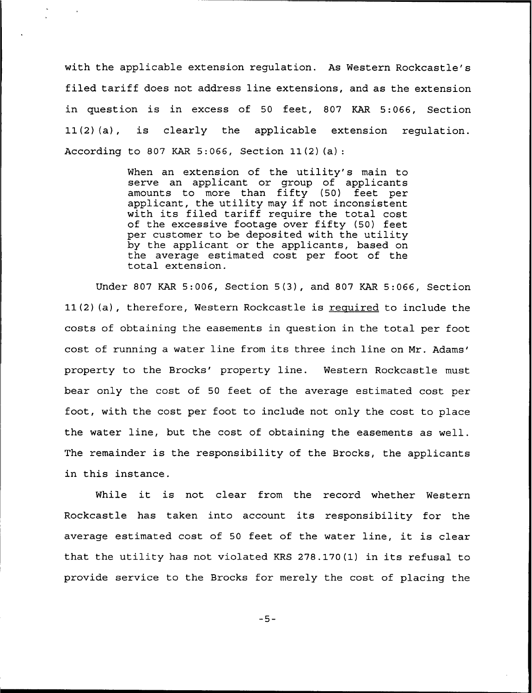with the applicable extension regulation. As Western Rockcastle's filed tariff does not address line extensions, and as the extension in question is in excess of 50 feet, 807 KAR 5:066, Section 11(2)(a), is clearly the applicable extension regulation. According to 807 KAR 5:066, Section 11(2)(a):

> When an extension of the utility's main to serve an applicant or group of applicants amounts to more than fifty (50) feet per applicant, the utility may if not inconsistent with its filed tariff require the total cost of the excessive footage over fifty (50) feet per customer to be deposited with the utility by the applicant or the applicants, based on the average estimated cost per foot of the total extension.

Under 807 KAR 5:006, Section 5(3), and 807 KAR 5:066, Section  $11(2)$  (a), therefore, Western Rockcastle is required to include the costs of obtaining the easements in question in the total per foot cost of running a water line from its three inch line on Mr. property to the Brocks' property line. Western Rockcastle must bear only the cost of 50 feet of the average estimated cost per foot, with the cost per foot to include not only the cost to place the water line, but the cost of obtaining the easements as well. The remainder is the responsibility of the Brocks, the applicants in this instance.

While it is not clear from the record whether Western Rockcastle has taken into account its responsibility for the average estimated cost of <sup>50</sup> feet of the water line, it is clear that the utility has not violated KRS 278.170(1) in its refusal to provide service to the Brocks for merely the cost of placing the

 $-5-$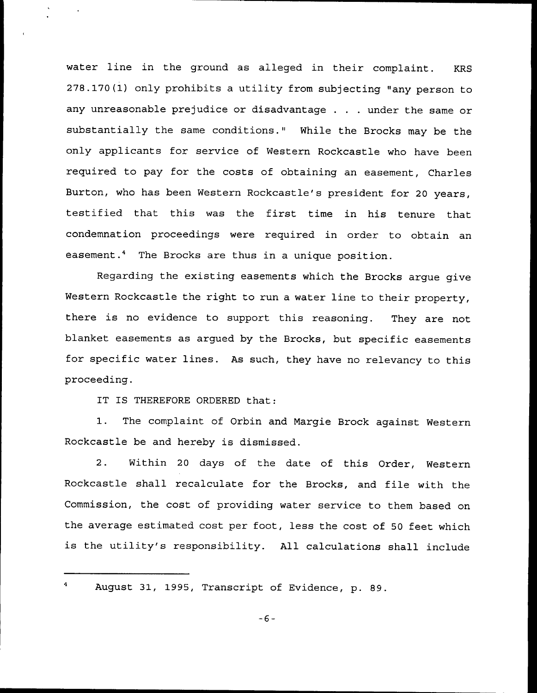water line in the ground as alleged in their complaint. KRS 278.170(1) only prohibits a utility from subjecting "any person to any unreasonable prejudice or disadvantage . . . under the same or substantially the same conditions." While the Brocks may be the only applicants for service of Western Rockcastle who have been required to pay for the costs of obtaining an easement, Charles Burton, who has been Western Rockcastle's president for 20 years, testified that this was the first time in his tenure that condemnation proceedings were required in order to obtain an easement.4 The Brocks are thus in a unique position.

Regarding the existing easements which the Brocks argue give Western Rockcastle the right to run a water line to their property, there is no evidence to support this reasoning. They are not blanket easements as argued by the Brocks, but specific easements for specific water lines. As such, they have no relevancy to this proceeding.

IT IS THEREFORE ORDERED that:

1. The complaint of Orbin and Margie Brock against Western Rockcastle be and hereby is dismissed.

2. Within <sup>20</sup> days of the date of this Order, Western Rockcastle shall recalculate for the Brocks, and file with the Commission, the cost of providing water service to them based on the average estimated cost per foot, less the cost of 50 feet which is the utility's responsibility. All calculations shall include

August 31, 1995, Transcript of Evidence, p. 89.